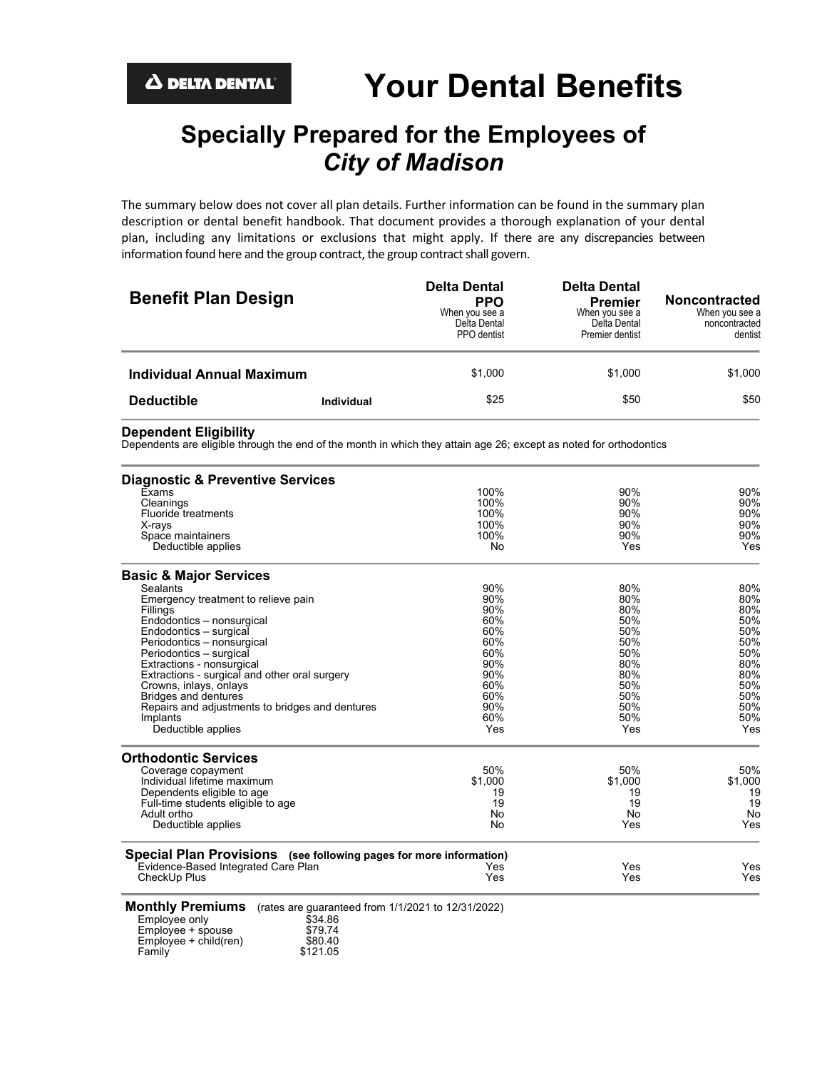# **Specially Prepared for the Employees of** *City of Madison*

The summary below does not cover all plan details. Further information can be found in the summary plan description or dental benefit handbook. That document provides a thorough explanation of your dental plan, including any limitations or exclusions that might apply. If there are any discrepancies between information found here and the group contract, the group contract shall govern.

| <b>Benefit Plan Design</b>       |                   | <b>Delta Dental</b><br><b>PPO</b><br>When you see a<br>Delta Dental<br>PPO dentist | <b>Delta Dental</b><br><b>Premier</b><br>When you see a<br>Delta Dental<br>Premier dentist | <b>Noncontracted</b><br>When you see a<br>noncontracted<br>dentist |
|----------------------------------|-------------------|------------------------------------------------------------------------------------|--------------------------------------------------------------------------------------------|--------------------------------------------------------------------|
| <b>Individual Annual Maximum</b> |                   | \$1.000                                                                            | \$1.000                                                                                    | \$1,000                                                            |
| <b>Deductible</b>                | <b>Individual</b> | \$25                                                                               | \$50                                                                                       | \$50                                                               |

**Dependent Eligibility** Dependents are eligible through the end of the month in which they attain age 26; except as noted for orthodontics

| <b>Diagnostic &amp; Preventive Services</b>                                                               |                                               |            |         |
|-----------------------------------------------------------------------------------------------------------|-----------------------------------------------|------------|---------|
| Exams                                                                                                     | 100%<br>100%<br>100%<br>100%                  | 90%        | 90%     |
| Cleanings                                                                                                 |                                               | 90%        | 90%     |
| <b>Fluoride treatments</b>                                                                                |                                               | 90%<br>90% | 90%     |
| X-rays                                                                                                    |                                               |            | 90%     |
| Space maintainers                                                                                         | 100%                                          | 90%        | 90%     |
| Deductible applies                                                                                        | No                                            | Yes        | Yes     |
| <b>Basic &amp; Major Services</b>                                                                         |                                               |            |         |
| <b>Sealants</b>                                                                                           | 90%                                           | 80%        | 80%     |
| Emergency treatment to relieve pain                                                                       | 90%                                           | 80%        | 80%     |
| Fillings                                                                                                  | 90%<br>60%<br>60%<br>60%<br>60%<br>90%<br>90% | 80%<br>50% | 80%     |
| Endodontics - nonsurgical                                                                                 |                                               |            | 50%     |
| Endodontics - surgical                                                                                    |                                               | 50%        | 50%     |
| Periodontics - nonsurgical                                                                                |                                               | 50%        | 50%     |
| Periodontics - surgical                                                                                   |                                               | 50%        | 50%     |
| Extractions - nonsurgical                                                                                 |                                               | 80%        | 80%     |
| Extractions - surgical and other oral surgery                                                             |                                               | 80%        | 80%     |
| Crowns, inlays, onlays                                                                                    | 60%                                           | 50%        | 50%     |
| <b>Bridges and dentures</b>                                                                               | 60%                                           | 50%        | 50%     |
| Repairs and adjustments to bridges and dentures                                                           | 90%                                           | 50%        | 50%     |
| Implants                                                                                                  | 60%                                           | 50%        | 50%     |
| Deductible applies                                                                                        | Yes                                           | Yes        | Yes     |
| <b>Orthodontic Services</b>                                                                               |                                               |            |         |
| Coverage copayment                                                                                        | 50%                                           | 50%        | 50%     |
| Individual lifetime maximum                                                                               | \$1,000                                       | \$1,000    | \$1,000 |
| Dependents eligible to age                                                                                | 19                                            | 19         | 19      |
| Full-time students eligible to age                                                                        | 19                                            | 19         | 19      |
| Adult ortho                                                                                               | No                                            | No         | No      |
| Deductible applies                                                                                        | No                                            | Yes        | Yes     |
| Special Plan Provisions (see following pages for more information)                                        |                                               |            |         |
| Evidence-Based Integrated Care Plan                                                                       | Yes                                           | Yes        | Yes     |
| CheckUp Plus                                                                                              | Yes                                           | Yes        | Yes     |
| <b>Monthly Premiums</b><br>(rates are guaranteed from 1/1/2021 to 12/31/2022)<br>Employee only<br>\$34 86 |                                               |            |         |

| Employee only            | \$34.86  |
|--------------------------|----------|
| Employee + spouse        | \$79.74  |
| $Emplovee + child$ (ren) | \$80.40  |
| Family                   | \$121.05 |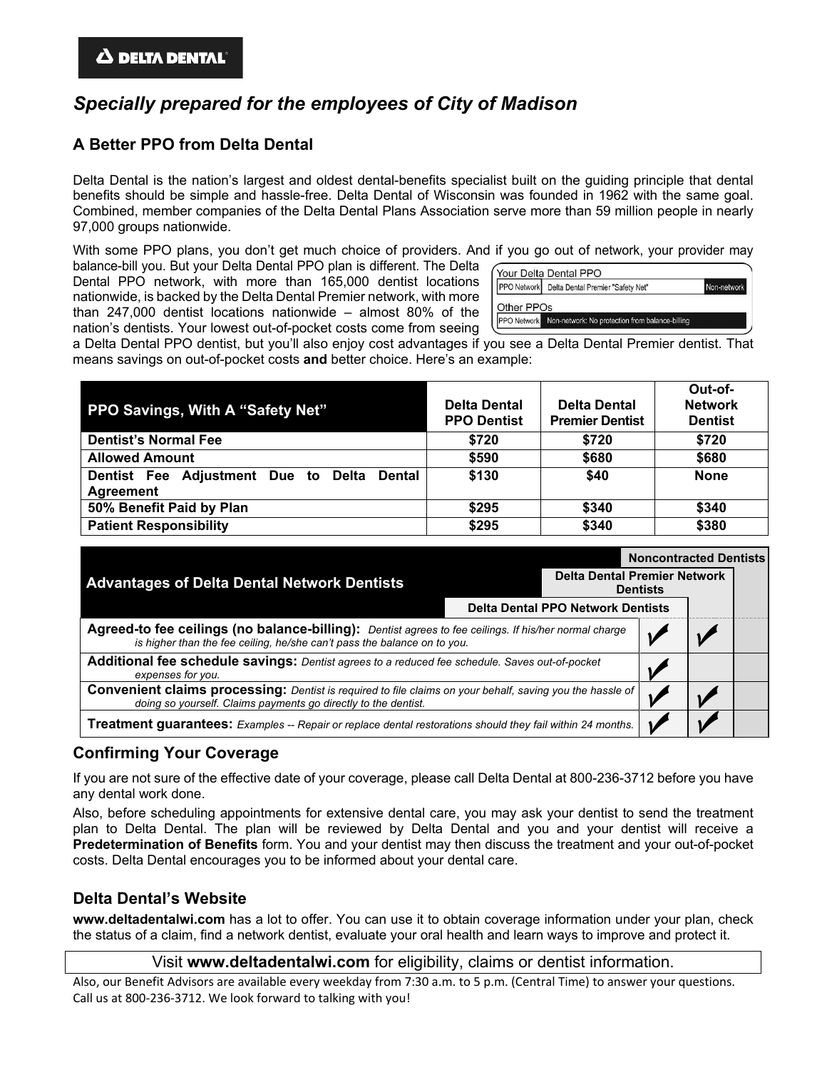# *Specially prepared for the employees of City of Madison*

### **A Better PPO from Delta Dental**

Delta Dental is the nation's largest and oldest dental-benefits specialist built on the guiding principle that dental benefits should be simple and hassle-free. Delta Dental of Wisconsin was founded in 1962 with the same goal. Combined, member companies of the Delta Dental Plans Association serve more than 59 million people in nearly 97,000 groups nationwide.

With some PPO plans, you don't get much choice of providers. And if you go out of network, your provider may

balance-bill you. But your Delta Dental PPO plan is different. The Delta Dental PPO network, with more than 165,000 dentist locations nationwide, is backed by the Delta Dental Premier network, with more than 247,000 dentist locations nationwide – almost 80% of the nation's dentists. Your lowest out-of-pocket costs come from seeing

|            | PPO Network Delta Dental Premier "Safety Net" | Non-network |
|------------|-----------------------------------------------|-------------|
| Other PPOs |                                               |             |

a Delta Dental PPO dentist, but you'll also enjoy cost advantages if you see a Delta Dental Premier dentist. That means savings on out-of-pocket costs **and** better choice. Here's an example:

| PPO Savings, With A "Safety Net"                               | <b>Delta Dental</b><br><b>PPO Dentist</b> | <b>Delta Dental</b><br><b>Premier Dentist</b> | Out-of-<br><b>Network</b><br><b>Dentist</b> |
|----------------------------------------------------------------|-------------------------------------------|-----------------------------------------------|---------------------------------------------|
| <b>Dentist's Normal Fee</b>                                    | \$720                                     | \$720                                         | \$720                                       |
| <b>Allowed Amount</b>                                          | \$590                                     | \$680                                         | \$680                                       |
| Dentist Fee Adjustment Due to Delta Dental<br><b>Agreement</b> | \$130                                     | \$40                                          | <b>None</b>                                 |
| 50% Benefit Paid by Plan                                       | \$295                                     | \$340                                         | \$340                                       |
| <b>Patient Responsibility</b>                                  | \$295                                     | \$340                                         | \$380                                       |

|                                                                                                                                                                                   |  |                 | <b>Noncontracted Dentists</b>       |  |  |
|-----------------------------------------------------------------------------------------------------------------------------------------------------------------------------------|--|-----------------|-------------------------------------|--|--|
| <b>Advantages of Delta Dental Network Dentists</b>                                                                                                                                |  | <b>Dentists</b> | <b>Delta Dental Premier Network</b> |  |  |
| <b>Delta Dental PPO Network Dentists</b>                                                                                                                                          |  |                 |                                     |  |  |
| Agreed-to fee ceilings (no balance-billing): Dentist agrees to fee ceilings. If his/her normal charge<br>is higher than the fee ceiling, he/she can't pass the balance on to you. |  |                 |                                     |  |  |
| Additional fee schedule savings: Dentist agrees to a reduced fee schedule. Saves out-of-pocket<br>expenses for you.                                                               |  |                 |                                     |  |  |
| Convenient claims processing: Dentist is required to file claims on your behalf, saving you the hassle of<br>doing so yourself. Claims payments go directly to the dentist.       |  |                 |                                     |  |  |
| <b>Treatment guarantees:</b> Examples -- Repair or replace dental restorations should they fail within 24 months.                                                                 |  |                 |                                     |  |  |

#### **Confirming Your Coverage**

If you are not sure of the effective date of your coverage, please call Delta Dental at 800-236-3712 before you have any dental work done.

Also, before scheduling appointments for extensive dental care, you may ask your dentist to send the treatment plan to Delta Dental. The plan will be reviewed by Delta Dental and you and your dentist will receive a **Predetermination of Benefits** form. You and your dentist may then discuss the treatment and your out-of-pocket costs. Delta Dental encourages you to be informed about your dental care.

#### **Delta Dental's Website**

**www.deltadentalwi.com** has a lot to offer. You can use it to obtain coverage information under your plan, check the status of a claim, find a network dentist, evaluate your oral health and learn ways to improve and protect it.

Visit **www.deltadentalwi.com** for eligibility, claims or dentist information.

Also, our Benefit Advisors are available every weekday from 7:30 a.m. to 5 p.m. (Central Time) to answer your questions. Call us at 800-236-3712. We look forward to talking with you!